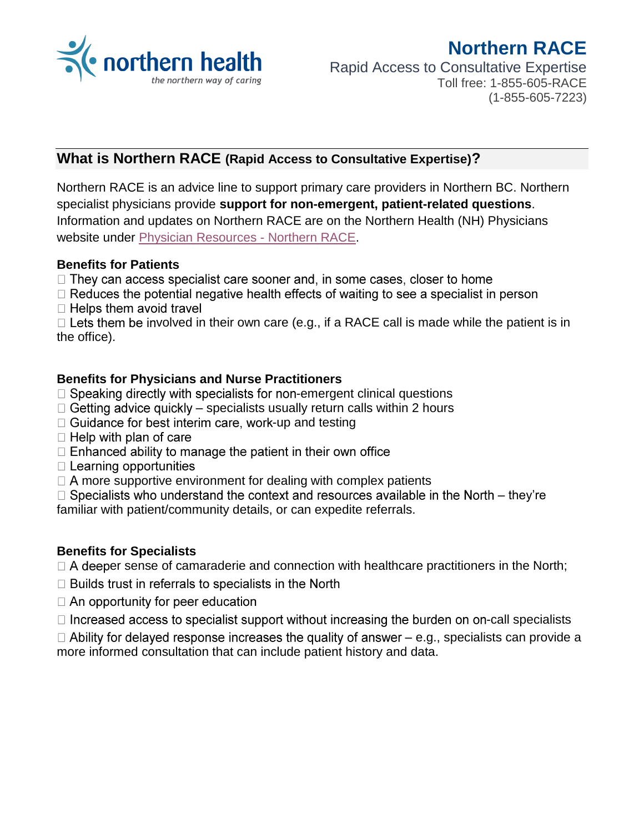

# **Northern RACE** Rapid Access to Consultative Expertise Toll free: 1-855-605-RACE (1-855-605-7223)

## **What is Northern RACE (Rapid Access to Consultative Expertise)?**

Northern RACE is an advice line to support primary care providers in Northern BC. Northern specialist physicians provide **support for non-emergent, patient-related questions**. Information and updates on Northern RACE are on the Northern Health (NH) Physicians website under [Physician Resources -](https://physicians.northernhealth.ca/physician-resources/northern-race) Northern RACE.

#### **Benefits for Patients**

- $\Box$  They can access specialist care sooner and, in some cases, closer to home
- $\Box$  Reduces the potential negative health effects of waiting to see a specialist in person  $\Box$  Helps them avoid travel

 $\Box$  Lets them be involved in their own care (e.g., if a RACE call is made while the patient is in the office).

#### **Benefits for Physicians and Nurse Practitioners**

- $\Box$  Speaking directly with specialists for non-emergent clinical questions
- $\Box$  Getting advice quickly specialists usually return calls within 2 hours
- $\Box$  Guidance for best interim care, work-up and testing
- $\Box$  Help with plan of care
- $\Box$  Enhanced ability to manage the patient in their own office
- $\Box$  Learning opportunities
- $\Box$  A more supportive environment for dealing with complex patients

 $\Box$  Specialists who understand the context and resources available in the North – they're familiar with patient/community details, or can expedite referrals.

#### **Benefits for Specialists**

 $\Box$  A deeper sense of camaraderie and connection with healthcare practitioners in the North;

- $\Box$  Builds trust in referrals to specialists in the North
- $\Box$  An opportunity for peer education
- $\Box$  Increased access to specialist support without increasing the burden on on-call specialists
- $\Box$  Ability for delayed response increases the quality of answer e.g., specialists can provide a more informed consultation that can include patient history and data.